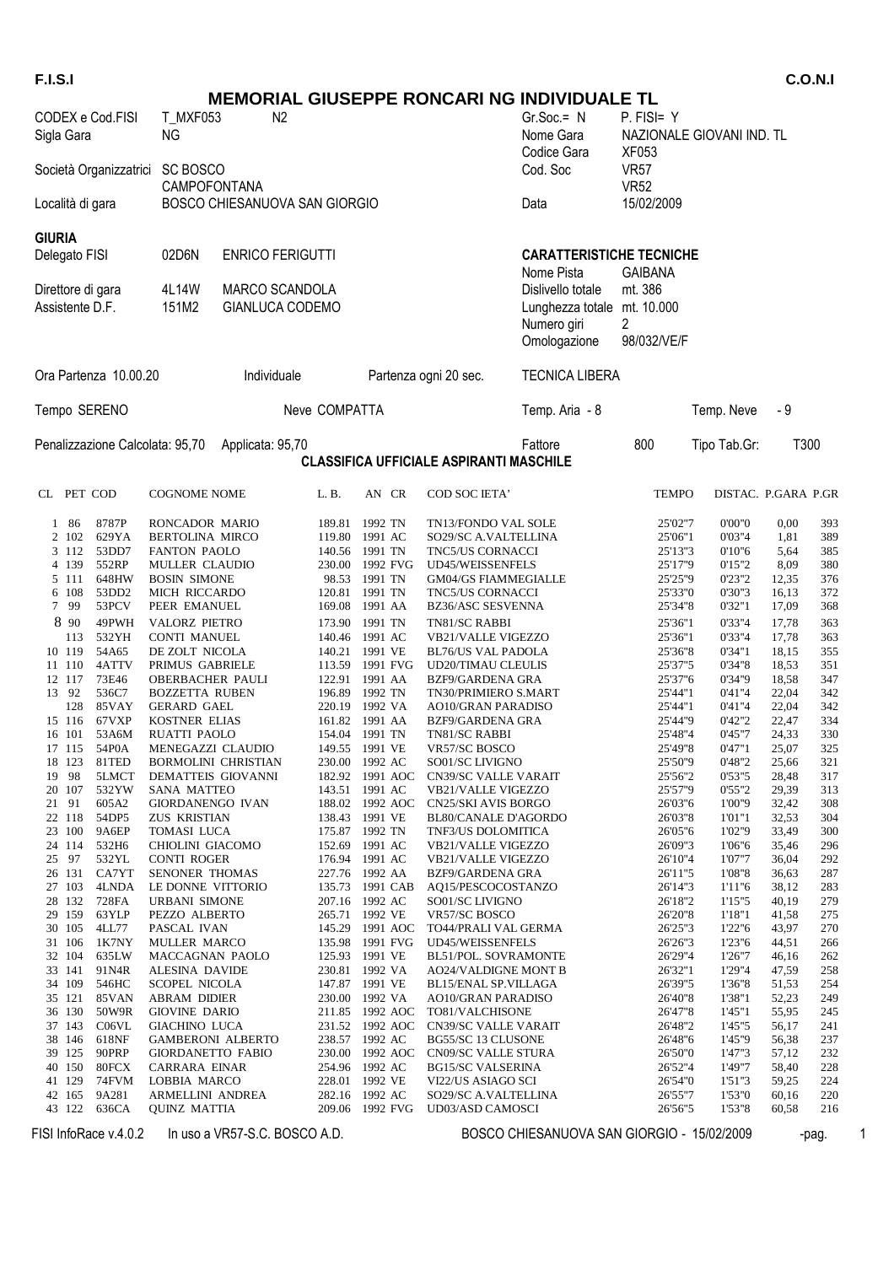| <b>F.I.S.I</b>                                                 |                                       |                                               |               |                                   |                                                            |                                                                                 |                                                  |                     |                | <b>C.O.N.I</b> |
|----------------------------------------------------------------|---------------------------------------|-----------------------------------------------|---------------|-----------------------------------|------------------------------------------------------------|---------------------------------------------------------------------------------|--------------------------------------------------|---------------------|----------------|----------------|
|                                                                |                                       |                                               |               |                                   |                                                            | <b>MEMORIAL GIUSEPPE RONCARI NG INDIVIDUALE TL</b>                              |                                                  |                     |                |                |
| CODEX e Cod.FISI<br><b>T MXF053</b><br><b>NG</b><br>Sigla Gara |                                       | N <sub>2</sub>                                |               |                                   |                                                            | $Gr.Soc = N$<br>Nome Gara<br>Codice Gara                                        | P. FISI= Y<br>NAZIONALE GIOVANI IND. TL<br>XF053 |                     |                |                |
| <b>SC BOSCO</b><br>Società Organizzatrici                      |                                       |                                               |               |                                   |                                                            | Cod. Soc                                                                        | <b>VR57</b><br><b>VR52</b>                       |                     |                |                |
| Località di gara                                               |                                       | CAMPOFONTANA<br>BOSCO CHIESANUOVA SAN GIORGIO |               |                                   |                                                            | Data                                                                            | 15/02/2009                                       |                     |                |                |
| <b>GIURIA</b>                                                  |                                       |                                               |               |                                   |                                                            |                                                                                 |                                                  |                     |                |                |
| Delegato FISI                                                  | 02D6N                                 | <b>ENRICO FERIGUTTI</b>                       |               |                                   |                                                            | <b>CARATTERISTICHE TECNICHE</b><br>Nome Pista                                   | <b>GAIBANA</b>                                   |                     |                |                |
| Direttore di gara<br>Assistente D.F.                           | 4L14W<br>151M2                        | MARCO SCANDOLA<br>GIANLUCA CODEMO             |               |                                   |                                                            | Dislivello totale<br>Lunghezza totale mt. 10.000<br>Numero giri<br>Omologazione | mt. 386<br>2<br>98/032/VE/F                      |                     |                |                |
| Ora Partenza 10.00.20                                          |                                       | Individuale                                   |               |                                   | Partenza ogni 20 sec.                                      | <b>TECNICA LIBERA</b>                                                           |                                                  |                     |                |                |
| Tempo SERENO                                                   |                                       |                                               | Neve COMPATTA |                                   |                                                            | Temp. Aria - 8                                                                  |                                                  | Temp. Neve          | - 9            |                |
| Penalizzazione Calcolata: 95,70                                |                                       | Applicata: 95,70                              |               |                                   | <b>CLASSIFICA UFFICIALE ASPIRANTI MASCHILE</b>             | Fattore                                                                         | 800                                              | Tipo Tab.Gr:        | T300           |                |
| CL PET COD                                                     | <b>COGNOME NOME</b>                   |                                               | L.B.          | AN CR                             | COD SOC IETA'                                              |                                                                                 | <b>TEMPO</b>                                     | DISTAC. P.GARA P.GR |                |                |
| 8787P<br>1 86                                                  | RONCADOR MARIO                        |                                               |               | 189.81 1992 TN                    | TN13/FONDO VAL SOLE                                        |                                                                                 | 25'02"7                                          | 0'00'0              | 0,00           | 393            |
| 2 102<br>629YA                                                 | <b>BERTOLINA MIRCO</b>                |                                               |               | 119.80 1991 AC                    | SO29/SC A.VALTELLINA                                       |                                                                                 | 25'06"1                                          | 0'03"4              | 1,81           | 389            |
| 53DD7<br>3 1 1 2<br>4 139<br>552RP                             | FANTON PAOLO<br>MULLER CLAUDIO        |                                               |               | 140.56 1991 TN<br>230.00 1992 FVG | TNC5/US CORNACCI<br>UD45/WEISSENFELS                       |                                                                                 | 25'13"3<br>25'17"9                               | 0'10''6<br>0'15''2  | 5,64<br>8,09   | 385<br>380     |
| 648HW<br>5 111                                                 | <b>BOSIN SIMONE</b>                   |                                               |               | 98.53 1991 TN                     | <b>GM04/GS FIAMMEGIALLE</b>                                |                                                                                 | 25'25"9                                          | 0'23"2              | 12,35          | 376            |
| 6 108<br>53DD <sub>2</sub>                                     | MICH RICCARDO                         |                                               |               | 120.81 1991 TN                    | TNC5/US CORNACCI                                           |                                                                                 | 25'33"0                                          | 0'30"3              | 16,13          | 372            |
| 7 99<br>53PCV                                                  | PEER EMANUEL                          |                                               |               | 169.08 1991 AA                    | BZ36/ASC SESVENNA                                          |                                                                                 | 25'34"8                                          | 0'32"1              | 17,09          | 368            |
| 8 90<br>49PWH                                                  | VALORZ PIETRO                         |                                               |               | 173.90 1991 TN                    | TN81/SC RABBI                                              |                                                                                 | 25'36"1                                          | 0'33"4              | 17,78          | 363            |
| 113<br>532YH<br>54A65<br>10 119                                | <b>CONTI MANUEL</b><br>DE ZOLT NICOLA |                                               |               | 140.46 1991 AC<br>140.21 1991 VE  | VB21/VALLE VIGEZZO<br><b>BL76/US VAL PADOLA</b>            |                                                                                 | 25'36"1<br>25'36"8                               | 0'33"4<br>0'34"1    | 17,78<br>18,15 | 363<br>355     |
| 11 110<br>4ATTV                                                | PRIMUS GABRIELE                       |                                               |               | 113.59 1991 FVG                   | UD20/TIMAU CLEULIS                                         |                                                                                 | 25'37"5                                          | 0'34"8              | 18,53          | 351            |
| 12 117<br>73E46                                                | OBERBACHER PAULI                      |                                               |               | 122.91 1991 AA                    | BZF9/GARDENA GRA                                           |                                                                                 | 25'37"6                                          | 0'34"9              | 18,58          | 347            |
| 13 92<br>536C7                                                 | <b>BOZZETTA RUBEN</b>                 |                                               |               | 196.89 1992 TN                    | TN30/PRIMIERO S.MART                                       |                                                                                 | 25'44"1                                          | 0'41"4              | 22,04          | 342            |
| 128<br>85VAY<br>15 116 67VXP                                   | <b>GERARD GAEL</b><br>KOSTNER ELIAS   |                                               |               | 220.19 1992 VA<br>161.82 1991 AA  | AO10/GRAN PARADISO<br><b>BZF9/GARDENA GRA</b>              |                                                                                 | 25'44"1<br>25'44"9                               | 0'41"4<br>0'42"2    | 22,04<br>22,47 | 342<br>334     |
| 16 101 53A6M                                                   | RUATTI PAOLO                          |                                               |               | 154.04 1991 TN                    | TN81/SC RABBI                                              |                                                                                 | 25'48"4                                          | 0'45''7             | 24,33          | 330            |
| 17 115 54P0A                                                   | MENEGAZZI CLAUDIO                     |                                               |               | 149.55 1991 VE                    | VR57/SC BOSCO                                              |                                                                                 | 25'49"8                                          | 0'47"1              | 25,07          | 325            |
| 81TED<br>18 123<br>19 98<br>5LMCT                              | DEMATTEIS GIOVANNI                    | <b>BORMOLINI CHRISTIAN</b>                    |               | 230.00 1992 AC<br>182.92 1991 AOC | SO01/SC LIVIGNO<br>CN39/SC VALLE VARAIT                    |                                                                                 | 25'50"9<br>25'56"2                               | 0'48"2<br>0'53''5   | 25,66<br>28,48 | 321            |
| 20 107<br>532YW                                                | SANA MATTEO                           |                                               |               | 143.51 1991 AC                    | VB21/VALLE VIGEZZO                                         |                                                                                 | 25'57"9                                          | 0'55''2             | 29,39          | 317<br>313     |
| 21 91<br>605A2                                                 | GIORDANENGO IVAN                      |                                               |               | 188.02 1992 AOC                   | <b>CN25/SKI AVIS BORGO</b>                                 |                                                                                 | 26'03"6                                          | 1'00"9              | 32,42          | 308            |
| 54DP5<br>22 118                                                | ZUS KRISTIAN                          |                                               |               | 138.43 1991 VE                    | <b>BL80/CANALE D'AGORDO</b>                                |                                                                                 | 26'03"8                                          | 1'01"1              | 32,53          | 304            |
| 23 100<br>9A6EP<br>24 114<br>532H <sub>6</sub>                 | TOMASI LUCA<br>CHIOLINI GIACOMO       |                                               |               | 175.87 1992 TN<br>152.69 1991 AC  | TNF3/US DOLOMITICA<br><b>VB21/VALLE VIGEZZO</b>            |                                                                                 | 26'05"6<br>26'09"3                               | 1'02"9<br>1'06"6    | 33,49<br>35,46 | 300<br>296     |
| 532YL<br>25 97                                                 | <b>CONTI ROGER</b>                    |                                               |               | 176.94 1991 AC                    | <b>VB21/VALLE VIGEZZO</b>                                  |                                                                                 | 26'10"4                                          | 1'07"7              | 36,04          | 292            |
| CA7YT<br>26 131                                                | SENONER THOMAS                        |                                               |               | 227.76 1992 AA                    | <b>BZF9/GARDENA GRA</b>                                    |                                                                                 | 26'11"5                                          | 1'08"8              | 36,63          | 287            |
| 4LNDA<br>27 103                                                | LE DONNE VITTORIO                     |                                               |               | 135.73 1991 CAB                   | AQ15/PESCOCOSTANZO                                         |                                                                                 | 26'14"3                                          | 1'11"6              | 38,12          | 283            |
| 28 132<br>728FA<br>63YLP<br>29 159                             | <b>URBANI SIMONE</b><br>PEZZO ALBERTO |                                               |               | 207.16 1992 AC<br>265.71 1992 VE  | SO01/SC LIVIGNO<br>VR57/SC BOSCO                           |                                                                                 | 26'18"2<br>26'20"8                               | 1'15"5<br>1'18"1    | 40,19<br>41,58 | 279<br>275     |
| 4LL77<br>30 105                                                | PASCAL IVAN                           |                                               |               | 145.29 1991 AOC                   | TO44/PRALI VAL GERMA                                       |                                                                                 | 26'25"3                                          | 1'22"6              | 43,97          | 270            |
| 1K7NY<br>31 106                                                | MULLER MARCO                          |                                               |               | 135.98 1991 FVG                   | UD45/WEISSENFELS                                           |                                                                                 | 26'26"3                                          | 1'23"6              | 44,51          | 266            |
| 635LW<br>32 104                                                | MACCAGNAN PAOLO                       |                                               |               | 125.93 1991 VE                    | BL51/POL. SOVRAMONTE                                       |                                                                                 | 26'29"4                                          | 1'26"7              | 46,16          | 262            |
| 33 141<br>91N4R<br>34 109<br>546HC                             | ALESINA DAVIDE<br>SCOPEL NICOLA       |                                               |               | 230.81 1992 VA<br>147.87 1991 VE  | <b>AO24/VALDIGNE MONT B</b><br><b>BL15/ENAL SP.VILLAGA</b> |                                                                                 | 26'32"1<br>26'39"5                               | 1'29"4<br>1'36"8    | 47,59<br>51,53 | 258<br>254     |
| 35 121<br>85VAN                                                | <b>ABRAM DIDIER</b>                   |                                               |               | 230.00 1992 VA                    | <b>AO10/GRAN PARADISO</b>                                  |                                                                                 | 26'40"8                                          | 1'38"1              | 52,23          | 249            |
| 50W9R<br>36 130                                                | <b>GIOVINE DARIO</b>                  |                                               |               | 211.85 1992 AOC                   | TO81/VALCHISONE                                            |                                                                                 | 26'47"8                                          | 1'45"1              | 55,95          | 245            |
| 37 143<br>C06VL                                                | <b>GIACHINO LUCA</b>                  |                                               |               | 231.52 1992 AOC                   | <b>CN39/SC VALLE VARAIT</b>                                |                                                                                 | 26'48"2                                          | 1'45"5              | 56,17          | 241            |
| 618NF<br>38 146                                                | <b>GAMBERONI ALBERTO</b>              |                                               |               | 238.57 1992 AC                    | BG55/SC 13 CLUSONE                                         |                                                                                 | 26'48"6                                          | 1'45"9              | 56,38          | 237            |
| 90PRP<br>39 125<br>80FCX<br>40 150                             | GIORDANETTO FABIO<br>CARRARA EINAR    |                                               |               | 230.00 1992 AOC<br>254.96 1992 AC | CN09/SC VALLE STURA<br><b>BG15/SC VALSERINA</b>            |                                                                                 | 26'50"0<br>26'52"4                               | 1'47"3<br>1'49"7    | 57,12<br>58,40 | 232<br>228     |
| 41 129<br>74FVM                                                | LOBBIA MARCO                          |                                               |               | 228.01 1992 VE                    | VI22/US ASIAGO SCI                                         |                                                                                 | 26'54"0                                          | 1'51"3              | 59,25          | 224            |
| 42 165<br>9A281                                                | ARMELLINI ANDREA                      |                                               |               | 282.16 1992 AC                    | SO29/SC A.VALTELLINA                                       |                                                                                 | 26'55"7                                          | 1'53"0              | 60,16          | 220            |
| 43 122<br>636CA                                                | <b>QUINZ MATTIA</b>                   |                                               |               | 209.06 1992 FVG                   | UD03/ASD CAMOSCI                                           |                                                                                 | 26'56"5                                          | 1'53"8              | 60,58          | 216            |
|                                                                |                                       |                                               |               |                                   |                                                            |                                                                                 |                                                  |                     |                |                |

FISI InfoRace v.4.0.2 In uso a VR57-S.C. BOSCO A.D. BOSCO CHIESANUOVA SAN GIORGIO - 15/02/2009 - pag. 1